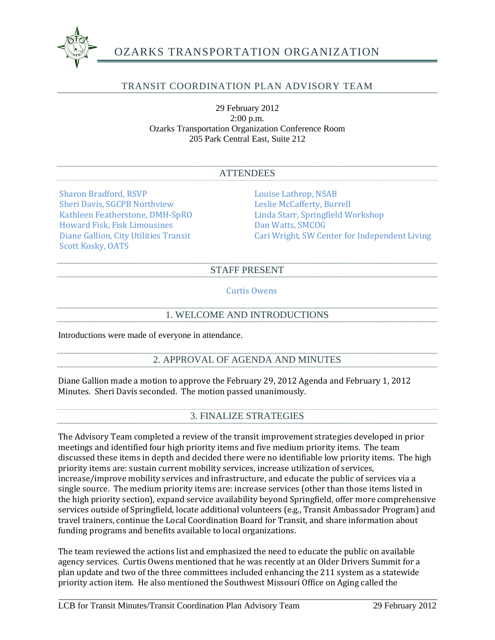

# OZARKS TRANSPORTATION ORGANIZATION

# TRANSIT COORDINATION PLAN ADVISORY TEAM

29 February 2012 2:00 p.m. Ozarks Transportation Organization Conference Room 205 Park Central East, Suite 212

#### ATTENDEES

Sharon Bradford, RSVP<br>
Sheri Davis, SGCPB Northview<br>
Leslie McCafferty, Burrell Sheri Davis, SGCPB Northview<br>Kathleen Featherstone, DMH-SpRO Howard Fisk, Fisk Limousines<br>Diane Gallion, City Utilities Transit Scott Kosky, OATS

Linda Starr, Springfield Workshop<br>Dan Watts, SMCOG Cari Wright, SW Center for Independent Living

#### STAFF PRESENT

Curtis Owens

### 1. WELCOME AND INTRODUCTIONS

Introductions were made of everyone in attendance.

## 2. APPROVAL OF AGENDA AND MINUTES

Diane Gallion made a motion to approve the February 29, 2012 Agenda and February 1, 2012 Minutes. Sheri Davis seconded. The motion passed unanimously.

#### 3. FINALIZE STRATEGIES

The Advisory Team completed a review of the transit improvement strategies developed in prior meetings and identified four high priority items and five medium priority items. The team discussed these items in depth and decided there were no identifiable low priority items. The high priority items are: sustain current mobility services, increase utilization of services, increase/improve mobility services and infrastructure, and educate the public of services via a single source. The medium priority items are: increase services (other than those items listed in the high priority section), expand service availability beyond Springfield, offer more comprehensive services outside of Springfield, locate additional volunteers (e.g., Transit Ambassador Program) and travel trainers, continue the Local Coordination Board for Transit, and share information about funding programs and benefits available to local organizations.

The team reviewed the actions list and emphasized the need to educate the public on available agency services. Curtis Owens mentioned that he was recently at an Older Drivers Summit for a plan update and two of the three committees included enhancing the 211 system as a statewide priority action item. He also mentioned the Southwest Missouri Office on Aging called the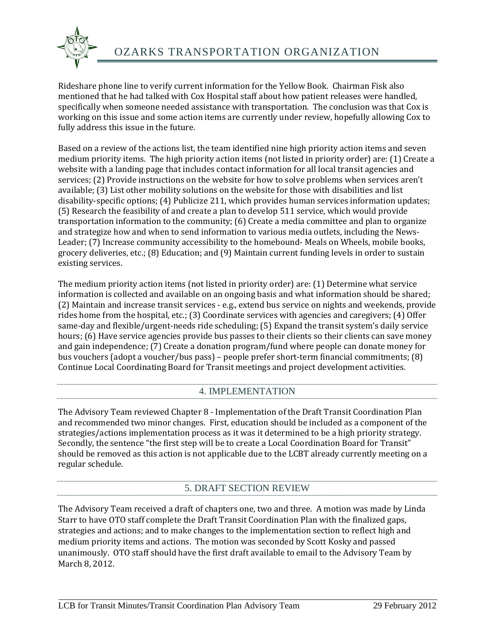

Rideshare phone line to verify current information for the Yellow Book. Chairman Fisk also mentioned that he had talked with Cox Hospital staff about how patient releases were handled, specifically when someone needed assistance with transportation. The conclusion was that Cox is working on this issue and some action items are currently under review, hopefully allowing Cox to fully address this issue in the future.

Based on a review of the actions list, the team identified nine high priority action items and seven medium priority items. The high priority action items (not listed in priority order) are: (1) Create a website with a landing page that includes contact information for all local transit agencies and services; (2) Provide instructions on the website for how to solve problems when services aren't available; (3) List other mobility solutions on the website for those with disabilities and list disability-specific options; (4) Publicize 211, which provides human services information updates; (5) Research the feasibility of and create a plan to develop 511 service, which would provide transportation information to the community; (6) Create a media committee and plan to organize and strategize how and when to send information to various media outlets, including the News-Leader; (7) Increase community accessibility to the homebound- Meals on Wheels, mobile books, grocery deliveries, etc.; (8) Education; and (9) Maintain current funding levels in order to sustain existing services.

The medium priority action items (not listed in priority order) are: (1) Determine what service information is collected and available on an ongoing basis and what information should be shared; (2) Maintain and increase transit services - e.g., extend bus service on nights and weekends, provide rides home from the hospital, etc.; (3) Coordinate services with agencies and caregivers; (4) Offer same-day and flexible/urgent-needs ride scheduling; (5) Expand the transit system's daily service hours; (6) Have service agencies provide bus passes to their clients so their clients can save money and gain independence; (7) Create a donation program/fund where people can donate money for bus vouchers (adopt a voucher/bus pass) – people prefer short-term financial commitments; (8) Continue Local Coordinating Board for Transit meetings and project development activities.

## 4. IMPLEMENTATION

The Advisory Team reviewed Chapter 8 - Implementation of the Draft Transit Coordination Plan and recommended two minor changes. First, education should be included as a component of the strategies/actions implementation process as it was it determined to be a high priority strategy. Secondly, the sentence "the first step will be to create a Local Coordination Board for Transit" should be removed as this action is not applicable due to the LCBT already currently meeting on a regular schedule.

# 5. DRAFT SECTION REVIEW

The Advisory Team received a draft of chapters one, two and three. A motion was made by Linda Starr to have OTO staff complete the Draft Transit Coordination Plan with the finalized gaps, strategies and actions; and to make changes to the implementation section to reflect high and medium priority items and actions. The motion was seconded by Scott Kosky and passed unanimously. OTO staff should have the first draft available to email to the Advisory Team by March 8, 2012.